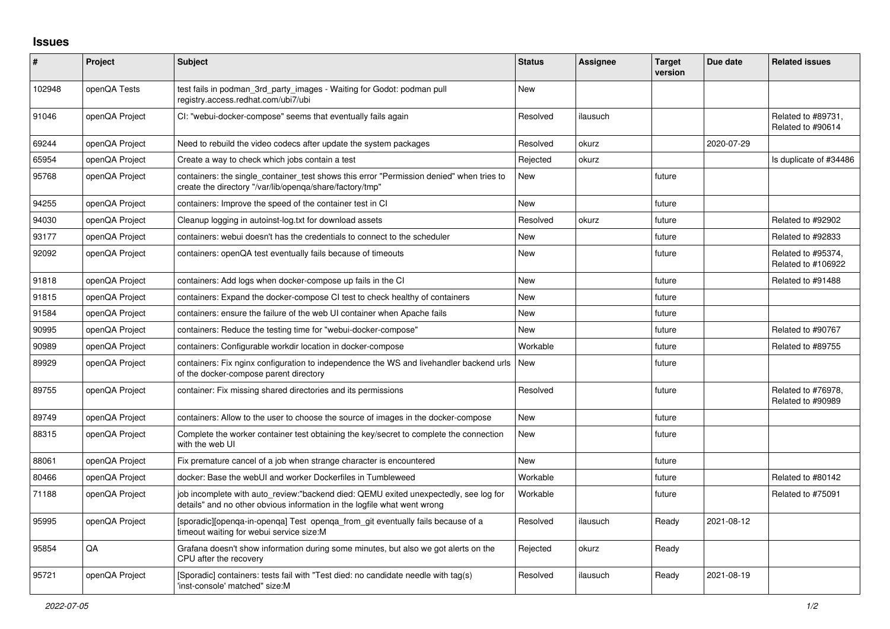## **Issues**

| #      | Project        | <b>Subject</b>                                                                                                                                                   | <b>Status</b> | <b>Assignee</b> | <b>Target</b><br>version | Due date   | <b>Related issues</b>                    |
|--------|----------------|------------------------------------------------------------------------------------------------------------------------------------------------------------------|---------------|-----------------|--------------------------|------------|------------------------------------------|
| 102948 | openQA Tests   | test fails in podman_3rd_party_images - Waiting for Godot: podman pull<br>registry.access.redhat.com/ubi7/ubi                                                    | <b>New</b>    |                 |                          |            |                                          |
| 91046  | openQA Project | CI: "webui-docker-compose" seems that eventually fails again                                                                                                     | Resolved      | ilausuch        |                          |            | Related to #89731,<br>Related to #90614  |
| 69244  | openQA Project | Need to rebuild the video codecs after update the system packages                                                                                                | Resolved      | okurz           |                          | 2020-07-29 |                                          |
| 65954  | openQA Project | Create a way to check which jobs contain a test                                                                                                                  | Rejected      | okurz           |                          |            | Is duplicate of #34486                   |
| 95768  | openQA Project | containers: the single_container_test shows this error "Permission denied" when tries to<br>create the directory "/var/lib/openga/share/factory/tmp"             | <b>New</b>    |                 | future                   |            |                                          |
| 94255  | openQA Project | containers: Improve the speed of the container test in CI                                                                                                        | <b>New</b>    |                 | future                   |            |                                          |
| 94030  | openQA Project | Cleanup logging in autoinst-log.txt for download assets                                                                                                          | Resolved      | okurz           | future                   |            | Related to #92902                        |
| 93177  | openQA Project | containers: webui doesn't has the credentials to connect to the scheduler                                                                                        | <b>New</b>    |                 | future                   |            | Related to #92833                        |
| 92092  | openQA Project | containers: openQA test eventually fails because of timeouts                                                                                                     | <b>New</b>    |                 | future                   |            | Related to #95374,<br>Related to #106922 |
| 91818  | openQA Project | containers: Add logs when docker-compose up fails in the CI                                                                                                      | <b>New</b>    |                 | future                   |            | Related to #91488                        |
| 91815  | openQA Project | containers: Expand the docker-compose CI test to check healthy of containers                                                                                     | <b>New</b>    |                 | future                   |            |                                          |
| 91584  | openQA Project | containers: ensure the failure of the web UI container when Apache fails                                                                                         | New           |                 | future                   |            |                                          |
| 90995  | openQA Project | containers: Reduce the testing time for "webui-docker-compose"                                                                                                   | <b>New</b>    |                 | future                   |            | Related to #90767                        |
| 90989  | openQA Project | containers: Configurable workdir location in docker-compose                                                                                                      | Workable      |                 | future                   |            | Related to #89755                        |
| 89929  | openQA Project | containers: Fix nginx configuration to independence the WS and livehandler backend urls<br>of the docker-compose parent directory                                | New           |                 | future                   |            |                                          |
| 89755  | openQA Project | container: Fix missing shared directories and its permissions                                                                                                    | Resolved      |                 | future                   |            | Related to #76978,<br>Related to #90989  |
| 89749  | openQA Project | containers: Allow to the user to choose the source of images in the docker-compose                                                                               | <b>New</b>    |                 | future                   |            |                                          |
| 88315  | openQA Project | Complete the worker container test obtaining the key/secret to complete the connection<br>with the web UI                                                        | <b>New</b>    |                 | future                   |            |                                          |
| 88061  | openQA Project | Fix premature cancel of a job when strange character is encountered                                                                                              | <b>New</b>    |                 | future                   |            |                                          |
| 80466  | openQA Project | docker: Base the webUI and worker Dockerfiles in Tumbleweed                                                                                                      | Workable      |                 | future                   |            | Related to #80142                        |
| 71188  | openQA Project | job incomplete with auto review:"backend died: QEMU exited unexpectedly, see log for<br>details" and no other obvious information in the logfile what went wrong | Workable      |                 | future                   |            | Related to #75091                        |
| 95995  | openQA Project | [sporadic][openqa-in-openqa] Test openqa_from_git eventually fails because of a<br>timeout waiting for webui service size:M                                      | Resolved      | ilausuch        | Ready                    | 2021-08-12 |                                          |
| 95854  | QA             | Grafana doesn't show information during some minutes, but also we got alerts on the<br>CPU after the recovery                                                    | Rejected      | okurz           | Ready                    |            |                                          |
| 95721  | openQA Project | [Sporadic] containers: tests fail with "Test died: no candidate needle with tag(s)<br>'inst-console' matched" size:M                                             | Resolved      | ilausuch        | Ready                    | 2021-08-19 |                                          |